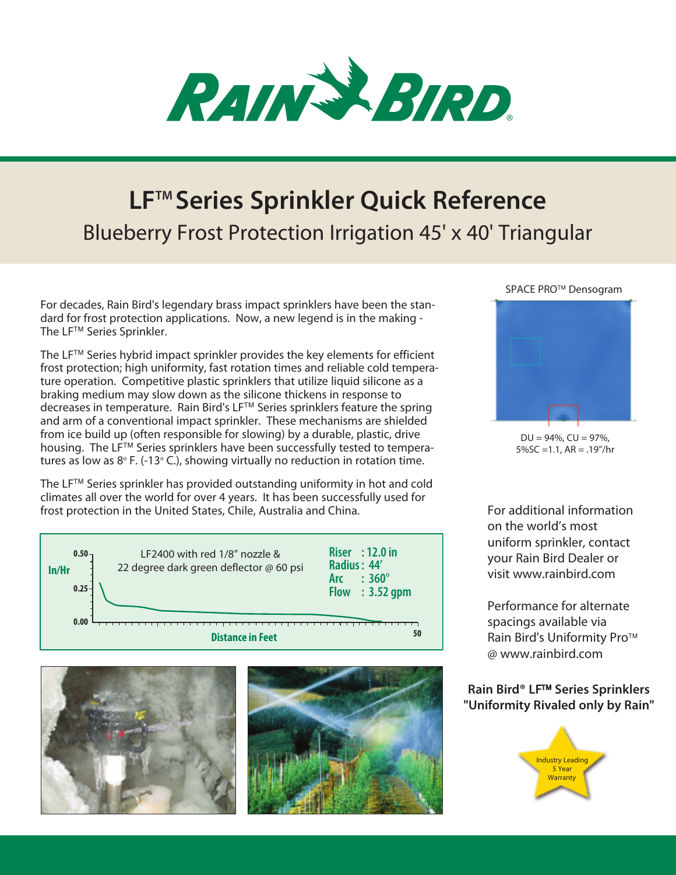

## **LFTM Series Sprinkler Quick Reference** Blueberry Frost Protection Irrigation 45' x 40' Triangular

For decades, Rain Bird's legendary brass impact sprinklers have been the standard for frost protection applications. Now, a new legend is in the making - The LF™ Series Sprinkler.

The  $LF^{TM}$  Series hybrid impact sprinkler provides the key elements for efficient frost protection; high uniformity, fast rotation times and reliable cold temperature operation. Competitive plastic sprinklers that utilize liquid silicone as a braking medium may slow down as the silicone thickens in response to decreases in temperature. Rain Bird's LF™ Series sprinklers feature the spring and arm of a conventional impact sprinkler. These mechanisms are shielded from ice build up (often responsible for slowing) by a durable, plastic, drive housing. The LF<sup>TM</sup> Series sprinklers have been successfully tested to temperatures as low as  $8^{\circ}$  F. (-13 $^{\circ}$  C.), showing virtually no reduction in rotation time.

The  $LF^{TM}$  Series sprinkler has provided outstanding uniformity in hot and cold climates all over the world for over 4 years. It has been successfully used for frost protection in the United States, Chile, Australia and China.







SPACE PRO<sup>™</sup> Densogram



 $DU = 94\%$ ,  $CU = 97\%$ , 5%SC =1.1, AR = .19"/hr

For additional information on the world's most uniform sprinkler, contact your Rain Bird Dealer or visit www.rainbird.com

Performance for alternate spacings available via Rain Bird's Uniformity Pro<sup>™</sup> @ www.rainbird.com

## **Rain Bird® LF™ Series Sprinklers "Uniformity Rivaled only by Rain"**